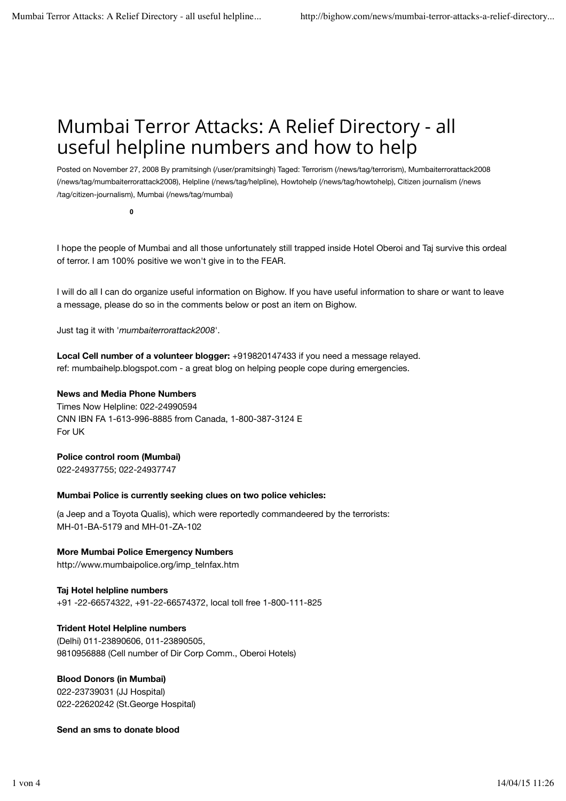## Mumbai Terror Attacks: A Relief Directory - all useful helpline numbers and how to help

Posted on November 27, 2008 By pramitsingh (/user/pramitsingh) Taged: Terrorism (/news/tag/terrorism), Mumbaiterrorattack2008 (/news/tag/mumbaiterrorattack2008), Helpline (/news/tag/helpline), Howtohelp (/news/tag/howtohelp), Citizen journalism (/news /tag/citizen-journalism), Mumbai (/news/tag/mumbai)

**0**

I hope the people of Mumbai and all those unfortunately still trapped inside Hotel Oberoi and Taj survive this ordeal of terror. I am 100% positive we won't give in to the FEAR.

I will do all I can do organize useful information on Bighow. If you have useful information to share or want to leave a message, please do so in the comments below or post an item on Bighow.

Just tag it with '*mumbaiterrorattack2008*'.

**Local Cell number of a volunteer blogger:** +919820147433 if you need a message relayed. ref: mumbaihelp.blogspot.com - a great blog on helping people cope during emergencies.

#### **News and Media Phone Numbers**

Times Now Helpline: 022-24990594 CNN IBN FA 1-613-996-8885 from Canada, 1-800-387-3124 E For UK

#### **Police control room (Mumbai)**

022-24937755; 022-24937747

#### **Mumbai Police is currently seeking clues on two police vehicles:**

(a Jeep and a Toyota Qualis), which were reportedly commandeered by the terrorists: MH-01-BA-5179 and MH-01-ZA-102

**More Mumbai Police Emergency Numbers** http://www.mumbaipolice.org/imp\_telnfax.htm

**Taj Hotel helpline numbers** +91 -22-66574322, +91-22-66574372, local toll free 1-800-111-825

**Trident Hotel Helpline numbers** (Delhi) 011-23890606, 011-23890505, 9810956888 (Cell number of Dir Corp Comm., Oberoi Hotels)

**Blood Donors (in Mumbai)** 022-23739031 (JJ Hospital) 022-22620242 (St.George Hospital)

**Send an sms to donate blood**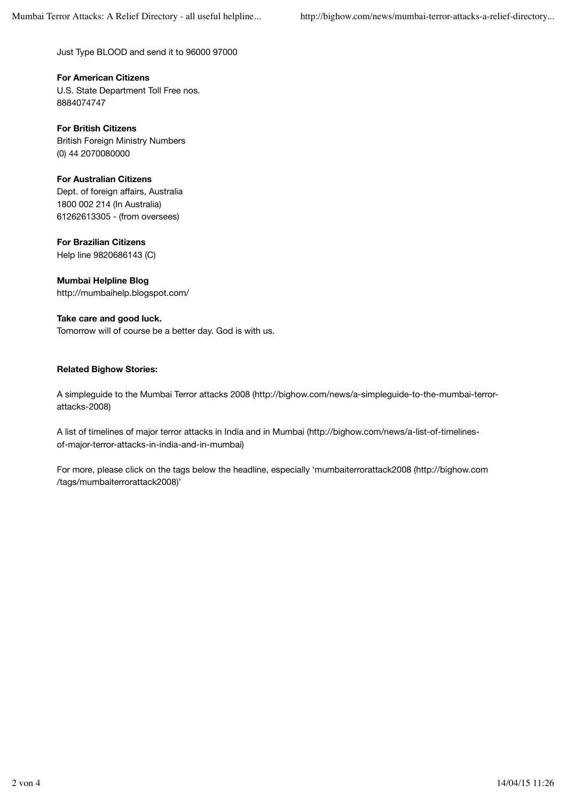Just Type BLOOD and send it to 96000 97000

**For American Citizens** U.S. State Department Toll Free nos. 8884074747

**For British Citizens** British Foreign Ministry Numbers (0) 44 2070080000

## **For Australian Citizens**

Dept. of foreign affairs, Australia 1800 002 214 (In Australia) 61262613305 - (from oversees)

**For Brazilian Citizens**

Help line 9820686143 (C)

**Mumbai Helpline Blog** http://mumbaihelp.blogspot.com/

**Take care and good luck.** Tomorrow will of course be a better day. God is with us.

## **Related Bighow Stories:**

A simpleguide to the Mumbai Terror attacks 2008 (http://bighow.com/news/a-simpleguide-to-the-mumbai-terrorattacks-2008)

A list of timelines of major terror attacks in India and in Mumbai (http://bighow.com/news/a-list-of-timelinesof-major-terror-attacks-in-india-and-in-mumbai)

For more, please click on the tags below the headline, especially 'mumbaiterrorattack2008 (http://bighow.com /tags/mumbaiterrorattack2008)'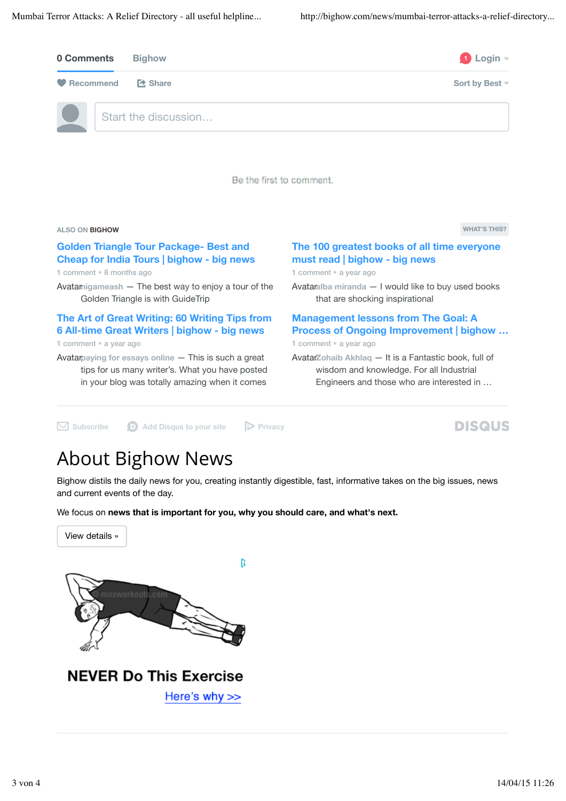

#### **Golden Triangle Tour Package- Best and Cheap for India Tours | bighow - big news** 1 comment • 8 months ago

Avatamigameash - The best way to enjoy a tour of the Golden Triangle is with GuideTrip

## **The Art of Great Writing: 60 Writing Tips from 6 All-time Great Writers | bighow - big news**

1 comment • a year ago

Avatar**paying for essays online** — This is such a great tips for us many writer's. What you have posted in your blog was totally amazing when it comes

**The 100 greatest books of all time everyone must read | bighow - big news**

1 comment • a year ago

Avatar**alba miranda** — I would like to buy used books that are shocking inspirational

## **Management lessons from The Goal: A Process of Ongoing Improvement | bighow …**

1 comment • a year ago

Avatar**Zohaib Akhlaq** — It is a Fantastic book, full of wisdom and knowledge. For all Industrial Engineers and those who are interested in …

✉ **Subscribe** d **Add Disqus to your site** % **Privacy**

## **DISQUS**

# About Bighow News

Bighow distils the daily news for you, creating instantly digestible, fast, informative takes on the big issues, news and current events of the day.

We focus on **news that is important for you, why you should care, and what's next.**

View details »



**NEVER Do This Exercise** 

Here's why >>